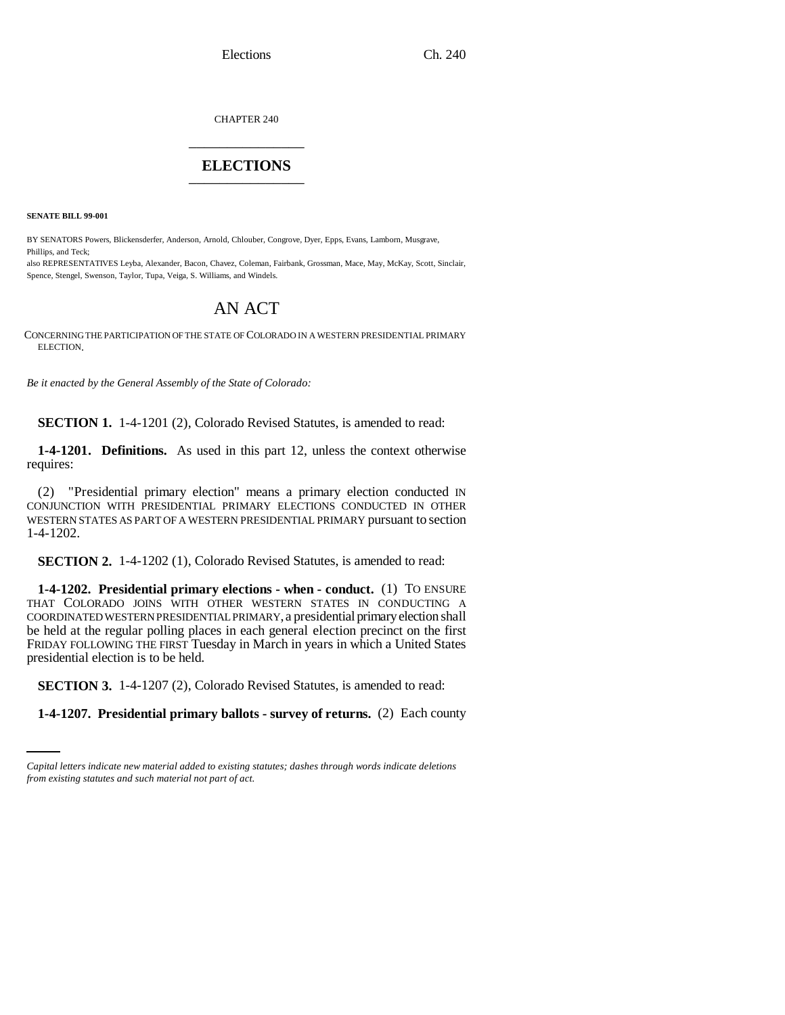Elections Ch. 240

CHAPTER 240 \_\_\_\_\_\_\_\_\_\_\_\_\_\_\_

## **ELECTIONS** \_\_\_\_\_\_\_\_\_\_\_\_\_\_\_

**SENATE BILL 99-001**

BY SENATORS Powers, Blickensderfer, Anderson, Arnold, Chlouber, Congrove, Dyer, Epps, Evans, Lamborn, Musgrave, Phillips, and Teck;

also REPRESENTATIVES Leyba, Alexander, Bacon, Chavez, Coleman, Fairbank, Grossman, Mace, May, McKay, Scott, Sinclair, Spence, Stengel, Swenson, Taylor, Tupa, Veiga, S. Williams, and Windels.

## AN ACT

CONCERNING THE PARTICIPATION OF THE STATE OF COLORADO IN A WESTERN PRESIDENTIAL PRIMARY ELECTION.

*Be it enacted by the General Assembly of the State of Colorado:*

**SECTION 1.** 1-4-1201 (2), Colorado Revised Statutes, is amended to read:

**1-4-1201. Definitions.** As used in this part 12, unless the context otherwise requires:

(2) "Presidential primary election" means a primary election conducted IN CONJUNCTION WITH PRESIDENTIAL PRIMARY ELECTIONS CONDUCTED IN OTHER WESTERN STATES AS PART OF A WESTERN PRESIDENTIAL PRIMARY pursuant to section 1-4-1202.

**SECTION 2.** 1-4-1202 (1), Colorado Revised Statutes, is amended to read:

**1-4-1202. Presidential primary elections - when - conduct.** (1) TO ENSURE THAT COLORADO JOINS WITH OTHER WESTERN STATES IN CONDUCTING A COORDINATED WESTERN PRESIDENTIAL PRIMARY, a presidential primary election shall be held at the regular polling places in each general election precinct on the first FRIDAY FOLLOWING THE FIRST Tuesday in March in years in which a United States presidential election is to be held.

**SECTION 3.** 1-4-1207 (2), Colorado Revised Statutes, is amended to read:

**1-4-1207. Presidential primary ballots - survey of returns.** (2) Each county

*Capital letters indicate new material added to existing statutes; dashes through words indicate deletions from existing statutes and such material not part of act.*